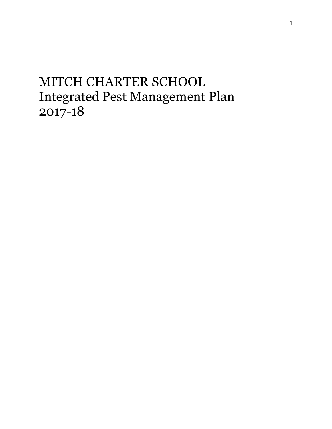# MITCH CHARTER SCHOOL Integrated Pest Management Plan 2017-18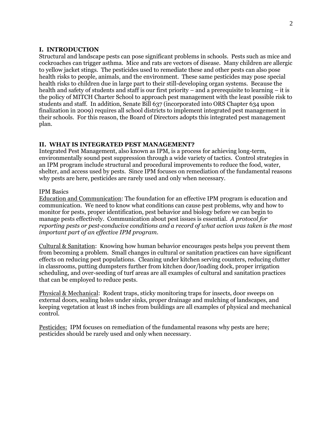#### **I. INTRODUCTION**

Structural and landscape pests can pose significant problems in schools. Pests such as mice and cockroaches can trigger asthma. Mice and rats are vectors of disease. Many children are allergic to yellow jacket stings. The pesticides used to remediate these and other pests can also pose health risks to people, animals, and the environment. These same pesticides may pose special health risks to children due in large part to their still-developing organ systems. Because the health and safety of students and staff is our first priority – and a prerequisite to learning – it is the policy of MITCH Charter School to approach pest management with the least possible risk to students and staff. In addition, Senate Bill 637 (incorporated into ORS Chapter 634 upon finalization in 2009) requires all school districts to implement integrated pest management in their schools. For this reason, the Board of Directors adopts this integrated pest management plan.

#### **II. WHAT IS INTEGRATED PEST MANAGEMENT?**

Integrated Pest Management, also known as IPM, is a process for achieving long-term, environmentally sound pest suppression through a wide variety of tactics. Control strategies in an IPM program include structural and procedural improvements to reduce the food, water, shelter, and access used by pests. Since IPM focuses on remediation of the fundamental reasons why pests are here, pesticides are rarely used and only when necessary.

#### IPM Basics

Education and Communication: The foundation for an effective IPM program is education and communication. We need to know what conditions can cause pest problems, why and how to monitor for pests, proper identification, pest behavior and biology before we can begin to manage pests effectively. Communication about pest issues is essential. *A protocol for reporting pests or pest-conducive conditions and a record of what action was taken is the most important part of an effective IPM program*.

Cultural & Sanitation: Knowing how human behavior encourages pests helps you prevent them from becoming a problem. Small changes in cultural or sanitation practices can have significant effects on reducing pest populations. Cleaning under kitchen serving counters, reducing clutter in classrooms, putting dumpsters further from kitchen door/loading dock, proper irrigation scheduling, and over-seeding of turf areas are all examples of cultural and sanitation practices that can be employed to reduce pests.

Physical & Mechanical: Rodent traps, sticky monitoring traps for insects, door sweeps on external doors, sealing holes under sinks, proper drainage and mulching of landscapes, and keeping vegetation at least 18 inches from buildings are all examples of physical and mechanical control.

Pesticides: IPM focuses on remediation of the fundamental reasons why pests are here; pesticides should be rarely used and only when necessary.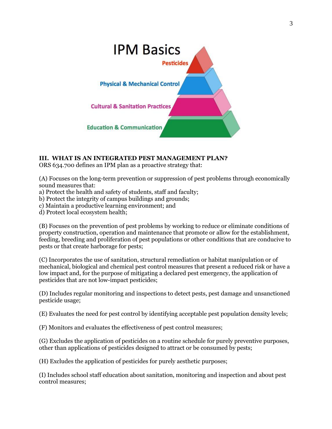

# **III. WHAT IS AN INTEGRATED PEST MANAGEMENT PLAN?**

ORS 634.700 defines an IPM plan as a proactive strategy that:

(A) Focuses on the long-term prevention or suppression of pest problems through economically sound measures that:

a) Protect the health and safety of students, staff and faculty;

b) Protect the integrity of campus buildings and grounds;

c) Maintain a productive learning environment; and

d) Protect local ecosystem health;

(B) Focuses on the prevention of pest problems by working to reduce or eliminate conditions of property construction, operation and maintenance that promote or allow for the establishment, feeding, breeding and proliferation of pest populations or other conditions that are conducive to pests or that create harborage for pests;

(C) Incorporates the use of sanitation, structural remediation or habitat manipulation or of mechanical, biological and chemical pest control measures that present a reduced risk or have a low impact and, for the purpose of mitigating a declared pest emergency, the application of pesticides that are not low-impact pesticides;

(D) Includes regular monitoring and inspections to detect pests, pest damage and unsanctioned pesticide usage;

(E) Evaluates the need for pest control by identifying acceptable pest population density levels;

(F) Monitors and evaluates the effectiveness of pest control measures;

(G) Excludes the application of pesticides on a routine schedule for purely preventive purposes, other than applications of pesticides designed to attract or be consumed by pests;

(H) Excludes the application of pesticides for purely aesthetic purposes;

(I) Includes school staff education about sanitation, monitoring and inspection and about pest control measures;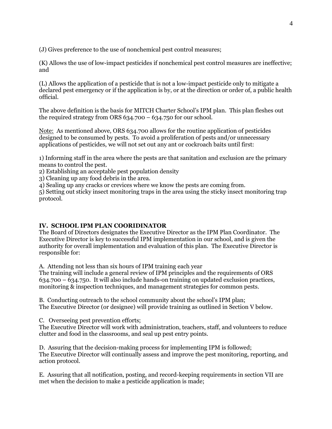(J) Gives preference to the use of nonchemical pest control measures;

(K) Allows the use of low-impact pesticides if nonchemical pest control measures are ineffective; and

(L) Allows the application of a pesticide that is not a low-impact pesticide only to mitigate a declared pest emergency or if the application is by, or at the direction or order of, a public health official.

The above definition is the basis for MITCH Charter School's IPM plan. This plan fleshes out the required strategy from ORS  $634.700 - 634.750$  for our school.

Note: As mentioned above, ORS 634.700 allows for the routine application of pesticides designed to be consumed by pests. To avoid a proliferation of pests and/or unnecessary applications of pesticides, we will not set out any ant or cockroach baits until first:

1) Informing staff in the area where the pests are that sanitation and exclusion are the primary means to control the pest.

2) Establishing an acceptable pest population density

3) Cleaning up any food debris in the area.

4) Sealing up any cracks or crevices where we know the pests are coming from.

5) Setting out sticky insect monitoring traps in the area using the sticky insect monitoring trap protocol.

#### **IV. SCHOOL IPM PLAN COORIDINATOR**

The Board of Directors designates the Executive Director as the IPM Plan Coordinator. The Executive Director is key to successful IPM implementation in our school, and is given the authority for overall implementation and evaluation of this plan. The Executive Director is responsible for:

A. Attending not less than six hours of IPM training each year

The training will include a general review of IPM principles and the requirements of ORS 634.700 – 634.750. It will also include hands-on training on updated exclusion practices, monitoring & inspection techniques, and management strategies for common pests.

B. Conducting outreach to the school community about the school's IPM plan; The Executive Director (or designee) will provide training as outlined in Section V below.

C. Overseeing pest prevention efforts;

The Executive Director will work with administration, teachers, staff, and volunteers to reduce clutter and food in the classrooms, and seal up pest entry points.

D. Assuring that the decision-making process for implementing IPM is followed; The Executive Director will continually assess and improve the pest monitoring, reporting, and action protocol.

E. Assuring that all notification, posting, and record-keeping requirements in section VII are met when the decision to make a pesticide application is made;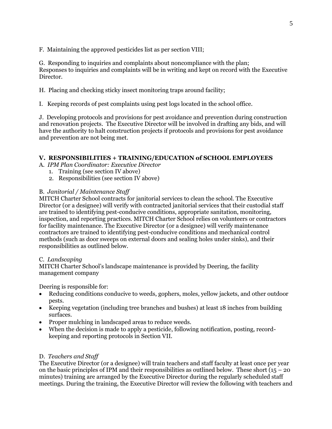F. Maintaining the approved pesticides list as per section VIII;

G. Responding to inquiries and complaints about noncompliance with the plan; Responses to inquiries and complaints will be in writing and kept on record with the Executive Director.

H. Placing and checking sticky insect monitoring traps around facility;

## I. Keeping records of pest complaints using pest logs located in the school office.

J. Developing protocols and provisions for pest avoidance and prevention during construction and renovation projects. The Executive Director will be involved in drafting any bids, and will have the authority to halt construction projects if protocols and provisions for pest avoidance and prevention are not being met.

## **V. RESPONSIBILITIES + TRAINING/EDUCATION of SCHOOL EMPLOYEES**

A. *IPM Plan Coordinator: Executive Director*

- 1. Training (see section IV above)
- 2. Responsibilities (see section IV above)

## B. *Janitorial / Maintenance Staff*

MITCH Charter School contracts for janitorial services to clean the school. The Executive Director (or a designee) will verify with contracted janitorial services that their custodial staff are trained to identifying pest-conducive conditions, appropriate sanitation, monitoring, inspection, and reporting practices. MITCH Charter School relies on volunteers or contractors for facility maintenance. The Executive Director (or a designee) will verify maintenance contractors are trained to identifying pest-conducive conditions and mechanical control methods (such as door sweeps on external doors and sealing holes under sinks), and their responsibilities as outlined below.

#### C. *Landscaping*

MITCH Charter School's landscape maintenance is provided by Deering, the facility management company

Deering is responsible for:

- Reducing conditions conducive to weeds, gophers, moles, yellow jackets, and other outdoor pests.
- Keeping vegetation (including tree branches and bushes) at least 18 inches from building surfaces.
- Proper mulching in landscaped areas to reduce weeds.
- When the decision is made to apply a pesticide, following notification, posting, recordkeeping and reporting protocols in Section VII.

#### D. *Teachers and Staff*

The Executive Director (or a designee) will train teachers and staff faculty at least once per year on the basic principles of IPM and their responsibilities as outlined below. These short  $(15 - 20$ minutes) training are arranged by the Executive Director during the regularly scheduled staff meetings. During the training, the Executive Director will review the following with teachers and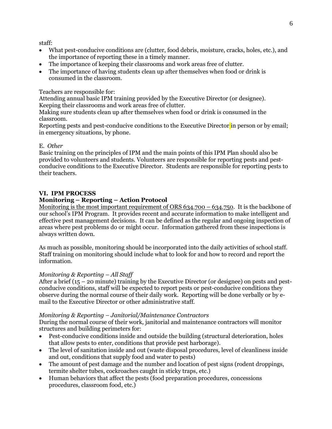staff:

- What pest-conducive conditions are (clutter, food debris, moisture, cracks, holes, etc.), and the importance of reporting these in a timely manner.
- The importance of keeping their classrooms and work areas free of clutter.
- The importance of having students clean up after themselves when food or drink is consumed in the classroom.

## Teachers are responsible for:

Attending annual basic IPM training provided by the Executive Director (or designee). Keeping their classrooms and work areas free of clutter.

Making sure students clean up after themselves when food or drink is consumed in the classroom.

Reporting pests and pest-conducive conditions to the Executive Director in person or by email; in emergency situations, by phone.

## E. *Other*

Basic training on the principles of IPM and the main points of this IPM Plan should also be provided to volunteers and students. Volunteers are responsible for reporting pests and pestconducive conditions to the Executive Director. Students are responsible for reporting pests to their teachers.

# **VI. IPM PROCESS**

## **Monitoring – Reporting – Action Protocol**

Monitoring is the most important requirement of ORS  $634.700 - 634.750$ . It is the backbone of our school's IPM Program. It provides recent and accurate information to make intelligent and effective pest management decisions. It can be defined as the regular and ongoing inspection of areas where pest problems do or might occur. Information gathered from these inspections is always written down.

As much as possible, monitoring should be incorporated into the daily activities of school staff. Staff training on monitoring should include what to look for and how to record and report the information.

## *Monitoring & Reporting – All Staff*

After a brief (15 – 20 minute) training by the Executive Director (or designee) on pests and pestconducive conditions, staff will be expected to report pests or pest-conducive conditions they observe during the normal course of their daily work. Reporting will be done verbally or by email to the Executive Director or other administrative staff.

## *Monitoring & Reporting – Janitorial/Maintenance Contractors*

During the normal course of their work, janitorial and maintenance contractors will monitor structures and building perimeters for:

- Pest-conducive conditions inside and outside the building (structural deterioration, holes that allow pests to enter, conditions that provide pest harborage).
- The level of sanitation inside and out (waste disposal procedures, level of cleanliness inside and out, conditions that supply food and water to pests)
- The amount of pest damage and the number and location of pest signs (rodent droppings, termite shelter tubes, cockroaches caught in sticky traps, etc.)
- Human behaviors that affect the pests (food preparation procedures, concessions procedures, classroom food, etc.)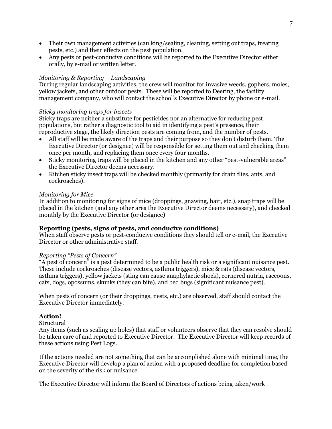- Their own management activities (caulking/sealing, cleaning, setting out traps, treating pests, etc.) and their effects on the pest population.
- Any pests or pest-conducive conditions will be reported to the Executive Director either orally, by e-mail or written letter.

#### *Monitoring & Reporting – Landscaping*

During regular landscaping activities, the crew will monitor for invasive weeds, gophers, moles, yellow jackets, and other outdoor pests. These will be reported to Deering, the facility management company, who will contact the school's Executive Director by phone or e-mail.

#### *Sticky monitoring traps for insects*

Sticky traps are neither a substitute for pesticides nor an alternative for reducing pest populations, but rather a diagnostic tool to aid in identifying a pest's presence, their reproductive stage, the likely direction pests are coming from, and the number of pests.

- All staff will be made aware of the traps and their purpose so they don't disturb them. The Executive Director (or designee) will be responsible for setting them out and checking them once per month, and replacing them once every four months.
- Sticky monitoring traps will be placed in the kitchen and any other "pest-vulnerable areas" the Executive Director deems necessary.
- Kitchen sticky insect traps will be checked monthly (primarily for drain flies, ants, and cockroaches).

#### *Monitoring for Mice*

In addition to monitoring for signs of mice (droppings, gnawing, hair, etc.), snap traps will be placed in the kitchen (and any other area the Executive Director deems necessary), and checked monthly by the Executive Director (or designee)

#### **Reporting (pests, signs of pests, and conducive conditions)**

When staff observe pests or pest-conducive conditions they should tell or e-mail, the Executive Director or other administrative staff.

#### *Reporting "Pests of Concern"*

"A pest of concern" is a pest determined to be a public health risk or a significant nuisance pest. These include cockroaches (disease vectors, asthma triggers), mice & rats (disease vectors, asthma triggers), yellow jackets (sting can cause anaphylactic shock), cornered nutria, raccoons, cats, dogs, opossums, skunks (they can bite), and bed bugs (significant nuisance pest).

When pests of concern (or their droppings, nests, etc.) are observed, staff should contact the Executive Director immediately.

#### **Action!**

#### Structural

Any items (such as sealing up holes) that staff or volunteers observe that they can resolve should be taken care of and reported to Executive Director. The Executive Director will keep records of these actions using Pest Logs.

If the actions needed are not something that can be accomplished alone with minimal time, the Executive Director will develop a plan of action with a proposed deadline for completion based on the severity of the risk or nuisance.

The Executive Director will inform the Board of Directors of actions being taken/work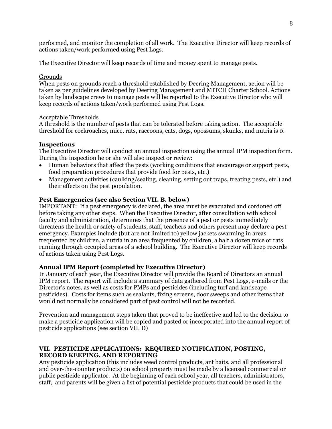performed, and monitor the completion of all work. The Executive Director will keep records of actions taken/work performed using Pest Logs.

The Executive Director will keep records of time and money spent to manage pests.

### Grounds

When pests on grounds reach a threshold established by Deering Management, action will be taken as per guidelines developed by Deering Management and MITCH Charter School. Actions taken by landscape crews to manage pests will be reported to the Executive Director who will keep records of actions taken/work performed using Pest Logs.

## Acceptable Thresholds

A threshold is the number of pests that can be tolerated before taking action. The acceptable threshold for cockroaches, mice, rats, raccoons, cats, dogs, opossums, skunks, and nutria is 0.

## **Inspections**

The Executive Director will conduct an annual inspection using the annual IPM inspection form. During the inspection he or she will also inspect or review:

- Human behaviors that affect the pests (working conditions that encourage or support pests, food preparation procedures that provide food for pests, etc.)
- Management activities (caulking/sealing, cleaning, setting out traps, treating pests, etc.) and their effects on the pest population.

## **Pest Emergencies (see also Section VII. B. below)**

IMPORTANT: If a pest emergency is declared, the area must be evacuated and cordoned off before taking any other steps. When the Executive Director, after consultation with school faculty and administration, determines that the presence of a pest or pests immediately threatens the health or safety of students, staff, teachers and others present may declare a pest emergency. Examples include (but are not limited to) yellow jackets swarming in areas frequented by children, a nutria in an area frequented by children, a half a dozen mice or rats running through occupied areas of a school building. The Executive Director will keep records of actions taken using Pest Logs.

## **Annual IPM Report (completed by Executive Director)**

In January of each year, the Executive Director will provide the Board of Directors an annual IPM report. The report will include a summary of data gathered from Pest Logs, e-mails or the Director's notes, as well as costs for PMPs and pesticides (including turf and landscape pesticides). Costs for items such as sealants, fixing screens, door sweeps and other items that would not normally be considered part of pest control will not be recorded.

Prevention and management steps taken that proved to be ineffective and led to the decision to make a pesticide application will be copied and pasted or incorporated into the annual report of pesticide applications (see section VII. D)

## **VII. PESTICIDE APPLICATIONS: REQUIRED NOTIFICATION, POSTING, RECORD KEEPING, AND REPORTING**

Any pesticide application (this includes weed control products, ant baits, and all professional and over-the-counter products) on school property must be made by a licensed commercial or public pesticide applicator. At the beginning of each school year, all teachers, administrators, staff, and parents will be given a list of potential pesticide products that could be used in the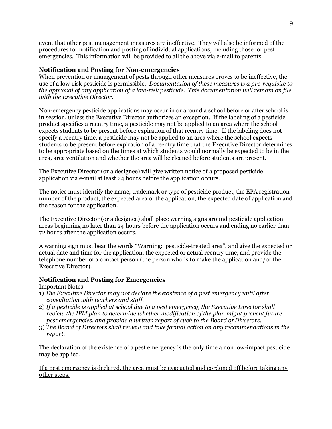event that other pest management measures are ineffective. They will also be informed of the procedures for notification and posting of individual applications, including those for pest emergencies. This information will be provided to all the above via e-mail to parents.

## **Notification and Posting for Non-emergencies**

When prevention or management of pests through other measures proves to be ineffective, the use of a low-risk pesticide is permissible. *Documentation of these measures is a pre-requisite to the approval of any application of a low-risk pesticide. This documentation will remain on file with the Executive Director.*

Non-emergency pesticide applications may occur in or around a school before or after school is in session, unless the Executive Director authorizes an exception. If the labeling of a pesticide product specifies a reentry time, a pesticide may not be applied to an area where the school expects students to be present before expiration of that reentry time. If the labeling does not specify a reentry time, a pesticide may not be applied to an area where the school expects students to be present before expiration of a reentry time that the Executive Director determines to be appropriate based on the times at which students would normally be expected to be in the area, area ventilation and whether the area will be cleaned before students are present.

The Executive Director (or a designee) will give written notice of a proposed pesticide application via e-mail at least 24 hours before the application occurs.

The notice must identify the name, trademark or type of pesticide product, the EPA registration number of the product, the expected area of the application, the expected date of application and the reason for the application.

The Executive Director (or a designee) shall place warning signs around pesticide application areas beginning no later than 24 hours before the application occurs and ending no earlier than 72 hours after the application occurs.

A warning sign must bear the words "Warning: pesticide-treated area", and give the expected or actual date and time for the application, the expected or actual reentry time, and provide the telephone number of a contact person (the person who is to make the application and/or the Executive Director).

## **Notification and Posting for Emergencies**

Important Notes:

- 1) *The Executive Director may not declare the existence of a pest emergency until after consultation with teachers and staff.*
- 2) *If a pesticide is applied at school due to a pest emergency, the Executive Director shall review the IPM plan to determine whether modification of the plan might prevent future pest emergencies, and provide a written report of such to the Board of Directors.*
- 3) *The Board of Directors shall review and take formal action on any recommendations in the report.*

The declaration of the existence of a pest emergency is the only time a non low-impact pesticide may be applied.

If a pest emergency is declared, the area must be evacuated and cordoned off before taking any other steps.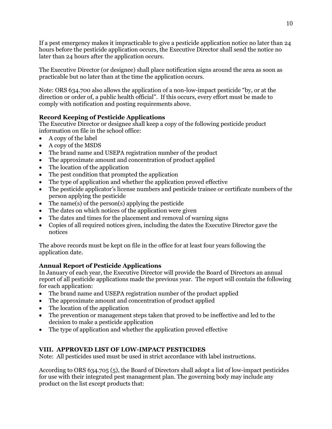If a pest emergency makes it impracticable to give a pesticide application notice no later than 24 hours before the pesticide application occurs, the Executive Director shall send the notice no later than 24 hours after the application occurs.

The Executive Director (or designee) shall place notification signs around the area as soon as practicable but no later than at the time the application occurs.

Note: ORS 634.700 also allows the application of a non-low-impact pesticide "by, or at the direction or order of, a public health official". If this occurs, every effort must be made to comply with notification and posting requirements above.

# **Record Keeping of Pesticide Applications**

The Executive Director or designee shall keep a copy of the following pesticide product information on file in the school office:

- A copy of the label
- A copy of the MSDS
- The brand name and USEPA registration number of the product
- The approximate amount and concentration of product applied
- The location of the application
- The pest condition that prompted the application
- The type of application and whether the application proved effective
- The pesticide applicator's license numbers and pesticide trainee or certificate numbers of the person applying the pesticide
- The name(s) of the person(s) applying the pesticide
- The dates on which notices of the application were given
- The dates and times for the placement and removal of warning signs
- Copies of all required notices given, including the dates the Executive Director gave the notices

The above records must be kept on file in the office for at least four years following the application date.

# **Annual Report of Pesticide Applications**

In January of each year, the Executive Director will provide the Board of Directors an annual report of all pesticide applications made the previous year. The report will contain the following for each application:

- The brand name and USEPA registration number of the product applied
- The approximate amount and concentration of product applied
- The location of the application
- The prevention or management steps taken that proved to be ineffective and led to the decision to make a pesticide application
- The type of application and whether the application proved effective

# **VIII. APPROVED LIST OF LOW-IMPACT PESTICIDES**

Note: All pesticides used must be used in strict accordance with label instructions.

According to ORS 634.705 (5), the Board of Directors shall adopt a list of low-impact pesticides for use with their integrated pest management plan. The governing body may include any product on the list except products that: